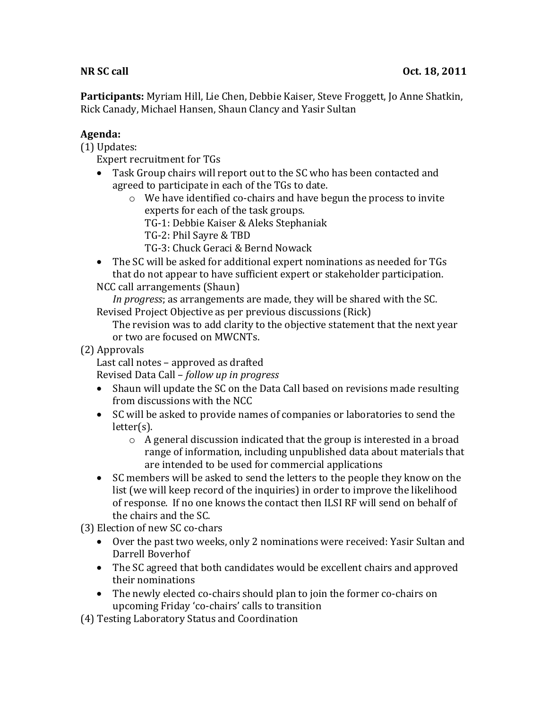**Participants:** Myriam Hill, Lie Chen, Debbie Kaiser, Steve Froggett, Jo Anne Shatkin, Rick Canady, Michael Hansen, Shaun Clancy and Yasir Sultan

## **Agenda:**

 $(1)$  Updates:

Expert recruitment for TGs

- Task Group chairs will report out to the SC who has been contacted and agreed to participate in each of the TGs to date.
	- $\circ$  We have identified co-chairs and have begun the process to invite experts for each of the task groups.
		- TG-1: Debbie Kaiser & Aleks Stephaniak
		- TG-2: Phil Sayre & TBD
		- TG-3: Chuck Geraci & Bernd Nowack
- The SC will be asked for additional expert nominations as needed for TGs that do not appear to have sufficient expert or stakeholder participation. NCC call arrangements (Shaun)

In progress; as arrangements are made, they will be shared with the SC. Revised Project Objective as per previous discussions (Rick)

The revision was to add clarity to the objective statement that the next year or two are focused on MWCNTs.

(2)!Approvals

Last call notes – approved as drafted

Revised Data Call – *follow up in progress* 

- Shaun will update the SC on the Data Call based on revisions made resulting from discussions with the NCC
- SC will be asked to provide names of companies or laboratories to send the letter(s).
	- $\circ$  A general discussion indicated that the group is interested in a broad range of information, including unpublished data about materials that are intended to be used for commercial applications
- SC members will be asked to send the letters to the people they know on the list (we will keep record of the inquiries) in order to improve the likelihood of response. If no one knows the contact then ILSI RF will send on behalf of the chairs and the SC.

(3) Election of new SC co-chars

- Over the past two weeks, only 2 nominations were received: Yasir Sultan and Darrell Boverhof
- The SC agreed that both candidates would be excellent chairs and approved their nominations
- The newly elected co-chairs should plan to join the former co-chairs on upcoming Friday 'co-chairs' calls to transition

(4) Testing Laboratory Status and Coordination